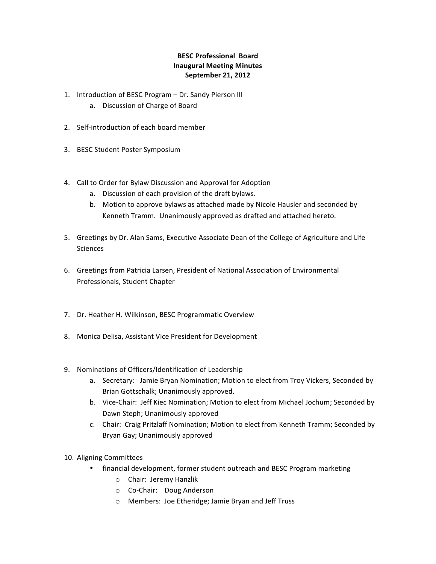## **BESC Professional Board Inaugural Meeting Minutes September 21, 2012**

- 1. Introduction of BESC Program Dr. Sandy Pierson III
	- a. Discussion of Charge of Board
- 2. Self-introduction of each board member
- 3. BESC Student Poster Symposium
- 4. Call to Order for Bylaw Discussion and Approval for Adoption
	- a. Discussion of each provision of the draft bylaws.
	- b. Motion to approve bylaws as attached made by Nicole Hausler and seconded by Kenneth Tramm. Unanimously approved as drafted and attached hereto.
- 5. Greetings by Dr. Alan Sams, Executive Associate Dean of the College of Agriculture and Life Sciences
- 6. Greetings from Patricia Larsen, President of National Association of Environmental Professionals, Student Chapter
- 7. Dr. Heather H. Wilkinson, BESC Programmatic Overview
- 8. Monica Delisa, Assistant Vice President for Development
- 9. Nominations of Officers/Identification of Leadership
	- a. Secretary: Jamie Bryan Nomination; Motion to elect from Troy Vickers, Seconded by Brian Gottschalk; Unanimously approved.
	- b. Vice-Chair: Jeff Kiec Nomination; Motion to elect from Michael Jochum; Seconded by Dawn Steph; Unanimously approved
	- c. Chair: Craig Pritzlaff Nomination; Motion to elect from Kenneth Tramm; Seconded by Bryan Gay; Unanimously approved
- 10. Aligning Committees
	- financial development, former student outreach and BESC Program marketing
		- $\circ$  Chair: Jeremy Hanzlik
		- $\circ$  Co-Chair: Doug Anderson
		- o Members: Joe Etheridge; Jamie Bryan and Jeff Truss